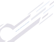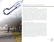

# Appendix A: Funding Sources

# Trail Funding Sources Overview

Due to the cost of most construction and trail development activities, it may be necessary to consider several sources of funding, that when combined, would support these costs. This appendix outlines sources of funding at the federal, state, and local government levels and from the private sector. These sources cover a variety of costs related to trail and community development along proposed Silver Comet Trail connections and surrounding areas. The following descriptions are intended to provide an overview of available options and do not represent a comprehensive list. Funding sources can be used for a variety of activities, including: planning, design, implementation and maintenance. It should be noted that this section reflects the funding available at the time of writing. The funding amounts, fund cycles, and even the programs themselves are susceptible to change without notice.

# Federal Funding Sources

Federal funding is typically directed through State agencies to local governments either in the form of grants or direct appropriations, independent from State budgets, where shortfalls may make it difficult to accurately forecast available funding for future project development. Federal funding typically requires a local match of approximately 20%, but there are sometimes exceptions, such as the recent American Recovery and Reinvestment Act stimulus funds, which did not require a match. Since these funding categories are difficult to forecast, it is recommended that the local jurisdiction work with its Metropolitan Planning Organization (MPO) or Regional Commission (RC) on getting pedestrian projects listed in metro and state Transportation Improvement Programs (TIP), as discussed below. The following is a list of possible Federal funding sources that could be used to support construction of many trail improvements. Most of these are competitive, and involve the completion of extensive applications with clear documentation of the project needs, costs, and benefits.

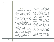# Moving Ahead For Progress In The Twenty- First Century (Map-21)

The largest source of federal funding for bicycle and pedestrian is the US DOT's Federal-Aid Highway Program, which Congress has reauthorized roughly every six years since the passage of the Federal- Aid Road Act of 1916. The latest act, Moving Ahead for Progress in the Twenty- First Century (MAP-21) was enacted in July 2012 as Public Law 112- 141. The Act replaces the Safe, Accountable, Flexible, Efficient Transportation Equity Act – a Legacy for Users (SAFETEA-LU), which was valid from August 2005 - June 2012. MAP-21 authorizes funding for federal surface transportation programs including highways and transit for the 27 month period between July 2012 and September 2014. It is not possible to guarantee the continued availability of any listed MAP-21 programs, or to predict their future funding levels or policy guidance. Nevertheless, many of these programs have been included in some form since the passage of the Intermodal Surface Transportation Efficiency Act (ISTEA) in 1991, and thus may continue to provide capital for active transportation projects and programs.

In Georgia, federal funds are administered through the Georgia Department of Transportation (GDOT) and Metropolitan Planning Organizations, such as the Atlanta Regional Commission (ARC). Most, but not all, of these programs are oriented toward transportation versus recreation, with

an emphasis on reducing auto trips and providing inter-modal connections. Federal funding is intended for capital improvements and safety and education programs, and projects must relate to the surface transportation system. There are a number of programs identified within MAP-21 that are applicable to bicycle and pedestrian projects, such as the Recreational Trails Program and Safe Routes to Schools.

#### More information: http://www.fhwa.dot.gov/ map21/guidance/guidetap.cfm

#### Transportation Alternatives

Transportation Alternatives (TA) is a new funding source under MAP- 21 that consolidates three formerly separate programs under SAFETEALU: Transportation Enhancements (TE), Safe Routes to School (SR2S), and the Recreational Trails Program (RTP). These funds may be used for a variety of pedestrian, bicycle, and streetscape projects including sidewalks, bikeways, multi-use paths, and rail-trails. TA funds may also be used for selected education and encouragement programming such as Safe Routes to School, despite the fact that TA does not provide a guaranteed set-aside for this activity as SAFETEA-LU did. Unless the Governor of a given state chooses to opt out of Recreational Trails Program funds, dedicated funds for recreational trails continue to be provided as a subset of TA. MAP-21 provides \$85 million nationally for the RTP. Complete eligibilities for TA include: Transportation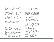Alternatives as defined by Section 1103 (a) (29). This category includes the construction, planning, and design of a range of bicycle and pedestrian infrastructure including "on-road and off-road trail facilities for pedestrians, bicyclists, and other nonmotorized forms of transportation, including sidewalks, bicycle infrastructure, pedestrian and bicycle signals, traffic calming techniques, lighting and other safety-related infrastructure, and transportation projects to achieve compliance with the Americans with Disabilities Act of 1990." Infrastructure projects and systems that provide "Safe Routes for Non-Drivers" is a new eligible activity.

More information: http://www.fhwa.dot. gov/map21/guidance/guidetap.cfm

# Safe Routes To School

The purpose of the Safe Routes to Schools (SRTS) program is to promote safe, healthy alternatives to riding the bus or being driven to school. All projects must be within two miles of primary or middle schools (K-8). Under MAP-21, dedicated funding for the SRTS program has been eliminated. However, SRTS activities are eligible to compete for funding alongside other projects under the Transportation Alternatives Program. Eligible projects may include:

• Engineering improvements. These physical improvements are designed to reduce potential bicycle and pedestrian conflicts with motor vehicles. Physical improvements may also reduce motor vehicle traffic volumes around schools, establish safer and more accessible crossings, or construct walkways, trails or bikeways. Eligible improvements include sidewalk improvements, traffic calming/speed reduction, pedestrian and bicycle crossing improvements, onstreet bicycle facilities, off-street bicycle and pedestrian facilities, and secure bicycle parking facilities.

- Education and Encouragement Efforts. These programs are designed to teach children safe bicycling and walking skills while educating them about the health benefits, and environmental impacts. Projects and programs may include creation, distribution and implementation of educational materials; safety based field trips; interactive bicycle/pedestrian safety video games; and promotional events and activities (e.g., assemblies, bicycle rodeos, walking school buses).
- Enforcement Efforts. These programs aim to ensure that traffic laws near schools are obeyed. Law enforcement activities apply to cyclists, pedestrians and motor vehicles alike. Projects may include development of a crossing guard program, enforcement equipment, photo enforcement, and pedestrian sting operations.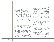#### Highway Safety Improvement Program

MAP-21 doubles the amount of funding available through the Highway Safety Improvement Program (HSIP) relative to SAFETEA-LU. HSIP provides \$2.4 billion nationally for projects and programs that help communities achieve significant reductions in traffic fatalities and serious injuries on all public roads, bikeways, and walkways. MAP-21 preserves the Railway-Highway Crossings Program within HSIP but discontinues the High-Risk Rural roads setaside unless safety statistics demonstrate that fatalities are increasing on these roads. Bicycle and pedestrian safety improvements, enforcement activities, traffic calming projects, and crossing treatments for nonmotorized users in school zones are eligible for these funds.

# Surface Transportation Program (STP)

The Surface Transportation Program (STP) provides states with flexible funds which may be used for a variety of projects on any Federal-aid Highway including the National Highway System, bridges on any public road, and transit facilities. Bicycle and pedestrian improvements are eligible activities under the STP. This covers a wide variety of projects such as on-street facilities, off-road trails, sidewalks, crosswalks, bicycle and pedestrian signals, parking, and other ancillary facilities. SAFETEA-LU also specifically clarifies that the modification of sidewalks to comply with the requirements of the Americans with Disabilities Act (ADA) is an eligible activity. Funds under Title 23 generally may be used

only for projects that are on the Federal aid highway system -- which typically does not include local or minor collector roads. However, bicycle and pedestrian projects not located on the Federal-aid highway system may be funded under the STP (and therefore also under the Transportation Enhancement Activities, Congestion Mitigation and Air Quality Improvement Program) and under the Bridge Program. Highway Safety Improvement Program funds may be spent on any public highway or trail. In addition, non-construction projects, such as maps, coordinator positions, and encouragement programs, are eligible for STP funds.

#### More information: http://www.fhwa.dot.gov/ safetealu/factsheets/stp.htm

#### Transportation, Community, And System Preservation Program

The Transportation, Community, and System Preservation (TCSP) Program provides federal funding for transit oriented development, traffic calming, and other projects that improve the efficiency of the transportation system, reduce the impact on the environment, and provide efficient access to jobs, services, and trade centers. The program is intended to provide communities with the resources to explore the integration of their transportation system with community preservation and environmental activities. The TCSP Program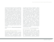funds require a 20 percent match. Pedestrian and bicycle projects meet several TCSP goals, are generally eligible for the TCSP program and are included in many TCSP projects. The program provides funding for a comprehensive initiative including planning grants, implementation grants, and research to investigate and address the relationships among transportation, community, and system preservation plans and practices and identify private sector-based initiatives to improve those relationships. The program was authorized at \$61 million nationally in federal fiscal year 2011 and provided \$782,640 for the Atlanta Beltline City Hall East Bicycle/Pedestrian Bridge. Congress has identified projects to be selected for funding through the TCSP program. Assuming that this method is used to allocate TCSP funds in the future, local jurisdictions will need to work closely with their RC/MPO, GDOT, and members of Congress to gain access to this funding.

More information: http://www.fhwa.dot.gov/ tcsp/

# Congestion Mitigation And Air Quality Improvement Program (CMAQ)

The Congestion Mitigation and Air Quality (CMAQ) Improvement program provides funds for programs in "air quality nonattainment and maintenance areas" (areas that do not meet federal air quality standards) and projects designed to improve

air quality and reduce congestion, without adding single occupant vehicle capacity to the transportation system. Along the proposed Silver Comet Trail connections, Cobb, Floyd, Fulton, and Paulding Counties were designated as non-attainment areas for PM2.5 as of December 2012. The federal formula for CMAQ allocates funds based on MPO population and congestion. Georgia gets approximately \$58 million in annual CMAQ funds, with the Atlanta Regional Commission receiving the majority of funds. These federal dollars can be used to build bicycle and pedestrian facilities that reduce travel by automobile. Purely recreational facilities generally are not eligible. CMAQ funding is processed by GDOT through Georgia's Metropolitan Planning Organizations (MPOs). Individual project proposals must meet a minimum cost threshold of \$100,000, and must meet a required local share of 20%. SAFETEALU authorized an extension of CMAQ Program funds through FY 2012.

# More information: www.dot.ga.gov/cmaq

# Recreational Trails Program (RTP)

The Recreational Trails Program (RTP) provides funds to the States to develop and maintain recreational trails and trail related facilities for both non-motorized and motorized recreational trail uses. The RTP is an assistance program of the Department of Transportation's Federal Highway Administration (FHWA). Federal transportation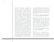funds benefit recreation including hiking, bicycling, in-line skating, equestrian use, cross-country skiing, snowmobiling, offroad motorcycling, all terrain vehicle riding, four-wheel driving, or using other off-road motorized vehicles. The RTP funds come from the Federal Highway Trust Fund, and represent a portion of the motor fuel excise tax collected from non-highway recreational fuel use: fuel used for off-highway recreation by snowmobiles, all-terrain vehicles, offhighway motorcycles, and off-highway light trucks. The RTP funds are distributed to the States by legislative formula: half of the funds are distributed equally among all States, and half are distributed in proportion to the estimated amount of non-highway recreational fuel use in each State. See the Funding Levels by State. Recreational Trails Program funds are apportioned to the States by legislative formula (23 U.S.C. 104(h)). FHWA receives \$840,000 per year for program administration, trail related research and technical assistance, and training. The remainder of the funds is distributed to the States. Half of the funds are distributed equally among all States, and half are distributed in proportion to the estimated amount of non-highway recreational fuel use in each State: fuel used for off-road recreation by snowmobiles, all-terrain vehicles, off-road motorcycles, and off-road light trucks. In 2012, Georgia received \$1,624,535 in apportioned funds for its Recreational Trail Program, with \$1,464,588 obligated. In 2013, Georgia has received \$ 1,740,137 in apportioned funds,

with obligation levels yet to be determined as of this writing. Under MAP-21, governors may choose to opt out of a portion or all of this "dedicated" RTP funding. As of this writing, the governor of Georgia has not opted out of the RTP funding. If the governor does opt out, these funds still must remain in Transportation Alternatives.

More information: http://www.fhwa.dot.gov/ environment/recreational\_trails/index.cfm

#### National Recreation Trails

Though not a source of funding, NRT designation from the Secretary of the Interior recognizes exemplary existing trails of local or regional significance. NRT designation provides benefits, including access to technical assistance from NRT partners and listing in a database of National Recreation Trails. In addition, some potential support sources will take NRT designation into account when making funding decisions. The Silver Comet Trail was designated a National Recreation Trail in 2002.

#### More information: http://www.americantrails. org/nationalrecreationtrails/

#### Rivers, Trails, And Conservation Assistance PROGRAM

Also not a source of funding, RTCA is a technical assistance arm of the National Park Service dedicated to helping local groups and communities preserve and develop open space, trails and greenways. RTCA is an important resource center for many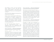trail builders in urban, rural and suburban areas. "Instead of money," their Web site notes, "[RTCA] supplies a staff person with extensive experience in community-based conservation to work with a local group on a project."

#### More Information: http://www.nps.gov/ncrc/ programs/rtca/index.htm

Federal Transit Administration Programs Federal Transit Administration (FTA) funding is available for projects designed to improve access to transit. Individual grant programs vary on the specific goals, but eligible improvements include crossing improvements, pedestrian signals, sidewalks and trails. Programs of the FTA are described in the following section.

#### Fta Urbanized Area Formula Program

The FTA capital/operating grant is for urbanized areas with populations over 50,000. This grant can be used for pedestrian or bicyclist access to transit.

#### More information: http://www.fta.dot.gov/ funding/grants/grants\_financing\_3561.html

#### Formula Grants For Other Than URBANIZED AREAS

This program is formula-based and provides funding to states for supporting public transportation in rural areas with populations of less than 50,000. This grant funds routes to transit, bike racks, shelters, and equipment for public transportation vehicles.

#### More information: http://www.fta.dot.gov/ funding/grants/grants\_financing\_3555.html

#### Metropolitan And Statewide Planning This program provides funding for statewide and metropolitan coordinated transportation planning. Federal planning funds are first apportioned to State DOTs. State DOTs then allocate planning funding to MPOs. Eligible activities include pedestrian or bicycle planning to increase safety for non-motorized users, and to enhance the interaction and connectivity of the transportation system across and between modes.

#### More information: http://www.fta.dot.gov/ funding/grants/grants\_financing\_3563.html

# Partnership For Sustainable Communities

Founded in 2009, the Partnership for Sustainable Communities is a joint project of the Environmental Protection Agency (EPA), the U.S. Department of Housing and Urban Development (HUD), and the U.S. Department of Transportation (USDOT). The partnership aims to "improve access to affordable housing, more transportation options, and lower transportation costs while protecting the environment in communities nationwide." The Partnership is based on five Livability Principles, one of which explicitly addresses the need for bicycle and pedestrian infrastructure ("Provide more transportation choices:, develop safe, reliable, and economical transportation choices to decrease household transportation costs, reduce our nation's dependence on foreign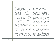oil, improve air quality, reduce greenhouse gas emissions, and promote public health"). The Partnership is not a formal agency with a regular annual grant program. Nevertheless, it is an important effort that has already led to some new grant opportunities (including both TIGER I and TIGER II grants). Georgia jurisdictions should track partnership communications and be prepared to respond proactively to announcements of new grant programs. Initiatives that speak to multiple livability goals are more likely to score well than initiatives that are narrowly limited in scope to pedestrian improvement efforts.

# More information: http://www. sustainablecommunities.gov/

#### Federal Community Development Block GRANT

Community Development Block Grant (CDBG) funds are allocated through the States to local municipal or county governments for projects that enhance the viability of communities by providing decent housing and suitable living environments and by expanding economic opportunities, principally for persons of low and moderate income. The program provides communities with resources to address a wide range of unique community development needs. Beginning in 1974, the CDBG program is one of the longest continuously run programs at HUD. The CDBG program provides annual grants on a formula basis to 1209

general units of local government and States. Federal CDBG grantees may use Community Development Block Grants funds for activities that include (but are not limited to): acquiring real property; reconstructing or rehabilitating housing and other property; building public facilities and improvements, such as streets, sidewalks, community and senior citizen centers and recreational facilities; paying for planning and administrative expenses, such as costs related to developing a consolidated plan and managing Community Development Block Grants funds; provide public services for youths, seniors, or the disabled; and initiatives such as neighborhood watch programs.

#### More information: http://portal.hud.gov/ hudportal/HUD?src=/program\_offices/ comm\_planning/communitydevelopment/ programs

#### Rivers, Trails, And Conservation Assistance Program

The Rivers, Trails and Conservation Assistance Program (RTCA) is a National Parks Service (NPS) program providing technical assistance via direct NPS staff involvement to establish and restore greenways, rivers, trails, watersheds and open space. The RTCA program provides only for planning assistance—there are no implementation funds available. Projects are prioritized for assistance based on criteria including conserving significant community resources, fostering cooperation between agencies, serving a large number of users,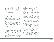encouraging public involvement in planning and implementation, and focusing on lasting accomplishments. This program may benefit trail development in Georgia locales indirectly through technical assistance, particularly for community organizations, but is not a capital funding source.

#### More information: http://www.nps.gov/ncrc/ programs/rtca/

# State Funding Sources

Unlike many states, Georgia has no consistent funding source that supports acquisition, development and rehabilitation of outdoor recreation areas. While the State of Georgia operated a Recreation Assistance Fund from 1978-1999, the state is currently one of fourteen states with no consistent source of funds for parks and recreational agencies. Lacking state assistance for recreation, many of the programs operated in Georgia are derived from federal funding sources administered at the state level.

#### Transportation Improvement Programs (TIP)

Transportation Improvement Programs (TIPs) in Georgia are administered by Metropolitan Planning Organizations (MPOs) within metro areas. These TIPs can contain a variety of transportation projects, including bicycle and pedestrian facilities. Outside of metro areas, Georgia maintains a Statewide Transportation Improvement Program (STIP). However, bicycle and pedestrian planning in non-MPO areas are typically funded through Regional Commissions (RCs). The distinctions between MPOs and RCs are discussed below. The Atlanta Regional Commission (ARC) includes planning levels for both the MPO and RC level, with MPO boundaries including several counties outside of the core ARC area.

The proposed Silver Comet Trail connections in Cobb, Fulton, and Paulding Counties are located within the ARC MPO area; the trail connections in Polk and Floyd Counties are located within the Northwest Georgia Regional Commission (NWGRC).

Metropolitan Planning Organizations (MPOs) are federally designated agencies created in urban areas containing more than 50,000 people. Fifteen MPOs operate within Georgia. They are charged with conducting comprehensive, coordinated planning processes to determine the transportation needs of their respective constituencies, and prioritizing and programming projects (including bicycle and pedestrian projects) for federal funding. The MPOs conduct open public meetings annually for input into the development of the Long Range Plans and Transportation Improvement Programs.

The Georgia State Planning Act of 1989 included key provisions for the creation of Regional Development Commissions throughout the state intended to assist local governments in planning and coordinate regional planning. These entities were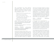later consolidated into twelve Regional Commissions (RCs). GDOT contracts with Regional Commissions (Except the Atlanta Regional Commission) to provide bicycle and pedestrian transportation services. Sample projects include:

- Regional bicycle and pedestrian plans
- Safe Routes to School Plans
- Rails-to-Trails Feasibility Studies
- Purchasing bike route signage and coordinating their installation
- Bike route and trail mapping
- Walkable community design workshops

Atlanta Regional Commission Division of Bicycle and Pedestrian Planning: http:// www.atlantaregional.com/transportation/ bicycle--pedestrian

Northwest Georgia Regional Commission: http://www.nwgrc.org/

Georgia Statewide Transportation Improvement Program: http://www.dot. ga.gov/informationcenter/programs/ transportation/Pages/stip.aspx

# Governor's Highway Safety Office

The Governor's Highway Safety Office (GHSO) is Georgia's advocate for highway safety. This office works with law enforcement, judicial personnel and community advocates to coordinate activities and initiatives relating to the human behavioral aspects of highway safety. The GHSO's mission is to develop, execute and evaluate programs to reduce the number of fatalities, injuries and related economic losses resulting from traffic crashes on Georgia's roadways. The office works in tandem with the National Highway Safety Administration to implement programs focusing on occupant protection, impaired driving, speed enforcement, truck and school bus safety, pedestrian and bicycle safety and crash data collection and analysis. Programs administered by the Governor's Highway Safety Office are 100% federally funded.

#### More information: http://www. gahighwaysafety.org/

#### Georgia Recreational Trail Program

In Georgia, the administration of the Recreational Trail Program is handled by the Department of Natural Resources (DNR), Division of Parks, Recreation, and Historic Sites. Under this program, the Grants Administration and Planning Unit of Georgia DNR provides 80/20 grant assistance for eligible applicants for land acquisition, development of public recreational trails, non-routine maintenance, and assessment of existing public trails.

The Georgia Recreational Trail Program has several criteria for applicants of trail funding. Lands and facilities that receive funding must be for public trails or the direct support of trail usage. In order to satisfy the public requirement, trail facilities must be open to the general public without discrimination during reasonable times and hours, and must be maintained and operated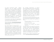for public recreational usage. Eligible applicants must be legally constituted entities such as state and federal agencies, cities, counties, recreational commissions, or recreational authorities with legislative sanction. Applicants must also demonstrate that proposed trail projects are identified or further a specific planning goal of Georgia's Statewide Comprehensive Outdoor Recreation Plan (SCORP). Likewise, the proposed trail project should be consistent with needs identified in the sponsor jurisdiction's local comprehensive plan.

Annual grant cycles begin with applications in the fall and grant awards announced in early March of the following year.

More information: http://georgiastateparks. org/Content/Georgia/word/grants/09-2012/ rtpmanua.pdf

# Land And Water Conservation Fund

The Land, Water & Conservation Fund (LWCF) program is a federally funded, state administered grant program and provides matching grants to local governments and state agencies that provide recreation and parks, for the acquisition and development of public outdoor recreation areas and facilities. All grant projects must be on publicly owned land. In Georgia, the LWCF has helped finance land acquisition for linear parks, such as the Chattahoochee River National Recreation Area.

The Georgia Department of Natural Resources (DNR) Division of Parks, Recreation, and Historic Sites conducts a Statewide Comprehensive Outdoor Recreation Plan (SCORP) each five years to articulate state recreational policy and maintain eligibility for federal funds from the Land and Water Conservation Fund (LWCF). LWCF grants support state, county, and city outdoor recreation projects for land acquisition, development, and rehabilitation.

The most recent iteration of the SCORP covers the planning period of 2008-2013. Under this plan, three key priorities are identified as follows:

- Promote Health / Fitness and Livability of All Communities
- Enhance Economic Vitality
- Conserve and Properly Use Natural Resources

Of these three primary goals, the promotion of health, fitness, and livability appears to apply the most closely to trail development. For example, one key recommendation under this goal is to explore ways of connecting existing parks and recreational facilities for pedestrians and non-motorized vehicles, such as bikes and in-line skates.

Georgia Land & Water Conservation Fund Grants: http://gastateparks.org/grants/lwcf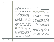Georgia Statewide Comprehensive Outdoor Recreation Plan: http://www.gastateparks. org/item/152835

Local Government Funding Sources Municipalities often plan for the funding of pedestrian and bicycle facilities/ improvements through development of Capital Improvement Programs (CIPs). For example, the City of Powder Springs has financed local extensions connecting to the Silver Comet Trail through municipal general funds. CIPs should include all types of capital improvements (water, sewer, buildings, streets, etc.) versus programs for single purposes. This allows municipal decision-makers to balance all capital needs. A variety of possible funding options available to Georgia jurisdictions for implementing bicycle and pedestrian projects are described below. However, many will require specific local action as a means of establishing a program, if not already in place.

# Capital Reserve Fund

Other states have created statutory authority for municipalities to create capital reserve funds for any capital purpose, including bicycle and pedestrian facilities. The reserve fund must be created through ordinance or resolution that states the purpose of the fund, the duration of the fund, the approximate amount of the fund, and the source of revenue for the fund. Sources of revenue can include general fund allocations, fund balance allocations, grants and donations

for the specified use.

#### More information: http://www.osc.state. ny.us/localgov/pubs/lgmg/reservefunds.pdf

Community Improvement Districts (CIDs) Community Improvement Districts (CIDs) are a voluntary self-taxing mechanism for funding governmental services, such as parks and recreation, road construction, storm water and waste water systems, water systems, public transportation, and other services. CIDs can levy taxes, fees and assessments on non-residential properties and apply the funds to governmental services and facilities within the CID boundary. CIDs can also fund improvements through issuing bonds. However, CID-issued bonds may not be considered an obligation of the state or local government other than the CID itself. The Georgia General Assembly may create a CID by local legislation, with conditional approval of the city or county government where the CID is located. In addition, the creation of a CID is contingent on receiving the written consent of a majority of the property owners within the CID that would be subject to CID taxes, fees and assessments. The governing body of each CID as designated by the Legislature must include representatives from each city or county within the CID.

More information: Georgia Constitution Article IX, Section VII http://www.lexisnexis. com/hottopics/gacode/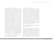# Tax Allocation Districts (TADs)

Tax Allocation Districts (TADs), often called Tax Increment Financing (TIF) in other states, are a mechanism for funding improvements in blighted or underutilized areas based on future property value increases. TADs operate by establishing a current tax base floor for a given TAD district area and applying future taxes over and above the tax floor for a given period of time to pay the costs of infrastructure. Most often, but not always, TADs issue bonds to fund infrastructure improvements that are aimed at spurring redevelopment and property value increases. TAD funds may be used for a wide range of development activities. Cities, counties and school systems may decide independently whether to participate in a TAD. City or County TADs require a jurisdiction-wide referendum for approval and the creation of a local redevelopment agency to administer the TAD. The local redevelopment agency is tasked with identifying a specific redevelopment area and public improvements needed to help the area attract new private development. Since a determination of blight is required, TADs generally apply to urbanized "brownfield" or "grayfield" sites rather than undeveloped rural property. One prominent example of TAD financing for bicycle/pedestrian infrastructure is the Atlanta Beltline TAD.

More information: http://aysps.gsu.edu/ publications/TAD\_compiled.pdf

# Installment Purchase Financing

As an alternative to debt financing of capital improvements, communities can execute installment or lease purchase contracts for improvements. This type of financing is typically used for relatively small projects that the seller or a financial institution is willing to finance or when up-front funds are unavailable. In a lease purchase contract the community leases the property or improvement from the seller or financial institution. The lease is paid in installments that include principal, interest, and associated costs. Upon completion of the lease period, the community owns the property or improvement. While lease purchase contracts are similar to a bond, this arrangement allows the community to acquire the property or improvement without issuing debt. These instruments, however, are more costly than issuing debt.

More information: http://www.development. ohio.gov/Business/tif/

#### Taxes

Many communities have raised money for general transportation programs or specific project needs through self-imposed increases in taxes and bonds. For example, Pinellas County residents in Florida voted to adopt a one cent sales tax increase, which provided an additional \$5 million for the development of the overwhelmingly popular Pinellas Trail. Sales taxes have also been used in Allegheny County, Pennsylvania, and in Boulder, Colorado to fund open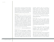space projects. A gas tax is another method used by some municipalities to fund public improvements. A number of taxes provide direct or indirect funding for the operations of local governments and public improvement projects that can be used for bicycle and pedestrian facilities. Some of them are:

# Special Purpose Local Option Sales Taxes (SPLOST)

In Georgia, sales tax is imposed on all retail sales, leases and rentals of most goods, as well as taxable services (occupancy taxes fall under this category as well). Georgia cities and counties have the option of imposing an additional Special Purpose Local Option Sales Tax (SPLOST). State law requires approval of a resolution to establish a SPLOST by a countywide referendum with a defined end date. SPLOST funds can only be applied to specified capital improvement projects. The City of Thomasville, Georgia has recently approved a SPLOST program for the construction of multi-use trails.

More information: http://www.gasplost.org/

#### PROPERTY TAX

Property taxes generally support a significant portion of a municipality's activities. However, the revenues from property taxes can also be used to pay debt service on general obligation bonds issued to finance greenway system acquisitions. Because of limits imposed on tax rates, use of property taxes to fund greenways could limit the municipality's ability to raise funds for other

activities. Property taxes can provide a steady stream of financing while broadly distributing the tax burden. In other parts of the country, this mechanism has been popular with voters as long as the increase is restricted to parks and open space. Note, other public agencies compete vigorously for these funds, and taxpayers are generally concerned about high property tax rates.

#### More information: https://etax.dor.ga.gov/ ptd/adm/about.aspx

# Excise Taxes

Excise taxes are taxes on specific goods and services. These taxes require special legislation and funds generated through the tax are limited to specific uses. Examples include lodging, food, and beverage taxes that generate funds for promotion of tourism, and the gas tax that generates revenues for transportation related activities.

# **FFFS**

A variety of fee options have been used by local jurisdictions to assist in funding pedestrian and bicycle improvements. Enabling actions may be required for a locality to take advantage of these tools.

# STORM WATER UTILITY FEES

Greenway trail property may be purchased with storm water fees, if the property in question is used to mitigate floodwater or filter pollutants. Storm water charges are typically based on an estimate of the amount of impervious surface on a user's property.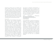Impervious surfaces (such as rooftops and paved areas) increase both the amount and rate of storm water runoff compared to natural conditions. Such surfaces cause runoff that directly or indirectly discharge into public storm drainage facilities and create a need for storm water management services. Thus, users with more impervious surface are charged more for storm water service than users with less impervious surface. The rates, fees, and charges collected for storm water management services may not exceed the costs incurred to provide these services.

# Impact Fees

Developers can be required to pay impact fees through local enabling legislation. Impact fees, which are also known as capital contributions, facilities fees, or system development charges, are typically collected from developers or property owners at the time of building permit issuance to pay for capital improvements that provide capacity to serve new growth. The intent of these fees is to avoid burdening existing customers with the costs of providing capacity to serve new growth so that "growth pays its own way." Communities that institute impact fees must develop a sound financial model that enables policy makers to justify fee levels for different user groups, and to ensure that revenues generated meet (but do not exceed) the needs of development. Factors used to determine an appropriate impact fee amount can include: lot size, number of occupants,

and types of subdivision improvements. A developer may reduce the impacts (and the resulting impact fee) by paying for onor offsite pedestrian improvements that will encourage residents/tenants to walk or use transit rather than drive. Establishing a clear nexus or connection between the impact fee and the project's impacts is critical in avoiding a potential lawsuit.

More information: http://www. dca.state.ga.us/development/ PlanningQualityGrowth/programs/ impactfees.asp

# In-Lieu-Of Fees

As an alternative to requiring developers to dedicate on-site greenway or pedestrian facility that would serve their development, some communities provide a choice of paying a front-end charge for off-site protection of pieces of the larger system. Payment is generally a condition of development approval and recovers the cost of the off- site land acquisition or the development's proportionate share of the cost of a regional facility serving a larger area. Some communities prefer in-lieu-of fees. This alternative allows community staff to purchase land worthy of protection rather than accept marginal land that meets the quantitative requirements of a developer dedication but falls short of qualitative interests.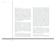#### BONDS AND LOANS

Bonds have been a very popular way for communities across the country to finance their pedestrian and greenway projects. A number of bond options are listed below. Contracting with a private consultant to assist with this program may be advisable. Since bonds rely on the support of the voting population, an education and awareness program should be implemented prior to any vote. Billings, Montana used the issuance of a bond in the amount of \$599,000 to provide the matching funds for several of their TEA-21 enhancement dollars. Austin, Texas has also used bond issues to fund a portion of its bicycle and trail system.

#### Revenue Bonds

Revenue bonds are bonds that are secured by a pledge of the revenues from a specific local government activity. The entity issuing bonds pledges to generate sufficient revenue annually to cover the program's operating costs, plus meet the annual debt service requirements (principal and interest payment). Revenue bonds are not constrained by the debt ceilings of general obligation bonds, but they are generally more expensive than general obligation bonds.

#### General Obligation Bonds

Cities, counties, and service districts generally are able to issue general obligation (G.O.) bonds that are secured by the full faith and credit of the entity. A general obligation

pledge is stronger than a revenue pledge, and thus may carry a lower interest rate than a revenue bond. The local government issuing the bonds pledges to raise its property taxes, or use any other sources of revenue, to generate sufficient revenues to make the debt service payments on the bonds. Frequently, when local governments issue G.O. bonds for public enterprise improvements, the public enterprise will make the debt service payments on the G.O. bonds with revenues generated through the public entity's rates and charges. However, if those rate revenues are insufficient to make the debt payment, the local government is obligated to raise taxes or use other sources of revenue to make the payments. Bond measures are typically limited by time, based on the debt load of the local government or the project under focus. Funding from bond measures can be used for right-of-way acquisition, engineering, design, and construction of pedestrian and bicycle facilities. Voter approval is required.

#### Special Assessment Bonds

Special assessment bonds are secured by a lien on the property that benefits from the improvements funded with the special assessment bond proceeds. Debt service payments on these bonds are funded through annual assessments to the property owners in the assessment area.

#### State Revolving Fund Loans

Initially funded with federal and state money, and continued by funds generated by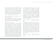repayment of earlier loans, State Revolving Funds (SRFs) provide low interest loans for local governments to fund water pollution control and water supply related projects including many watershed management activities. These loans typically require a revenue pledge, like a revenue bond, but carry a below market interest rate and limited term for debt repayment (20 years).

# Funds From Private Foundations &

# Organizations

Many communities have solicited greenway and pedestrian infrastructure funding assistance from private foundations and other conservation-minded benefactors.

# PATH FOUNDATION

The PATH Foundation is a non-profit organization that partners with state and local governments to fund the construction and maintenance of trails in Georgia. Since its inception, the PATH foundation has constructed more than 160 miles of hiking, biking, and walking trails, including the Silver Comet Trail. PATH foundation staff provides assistance to local governments in planning, designing, building and maintaining trail projects. The foundation has created a "PATH Standard" for trail facilities to provide regular specifications for multi-use paths. The PATH Foundation has conducted several successful capital campaigns to solicit donations from charitable foundations and individual donors. In some cases, PATH provides matching funds to finance the development of trails. The PATH foundation also sponsors an "Adopt a Trail" program to coordinate volunteers for supplemental maintenance programs. Numerous local charitable organizations and business interests have provided support for the PATH foundation, including the James M. Cox Foundation, Arthur M. Blank Family Foundation, Georgia-Pacific Foundation, Georgia Power Foundation, Northside Hospital Foundation, SunTrust Bank Atlanta Foundation, Turner Broadcasting System, The Wachovia Foundation, and the Robert W. Woodruff Foundation.

#### More information: http://pathfoundation. org/

# The Robert Wood Johnson Foundation

The Robert Wood Johnson Foundation was established in 1972 and today it is the largest U.S. foundation devoted to improving the health and health care of all Americans. Grant making is concentrated in four areas: To assure that all Americans have access to basic health care at a reasonable cost To improve care and support for people with chronic health conditions To promote healthy communities and lifestyles To reduce the personal, social and economic harm caused by substance abuse: tobacco, alcohol, and illicit drugs.

More information: http://www.rwjf.org/ grants/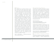#### REI Grants

REI is dedicated to inspiring people to love the outdoors and take care of the places they love. REI focuses philanthropic efforts on supporting and promoting participation in active volunteerism to care for public lands, natural areas, trails and waterways. This focus engages a full spectrum of REI resources to mobilize communities around outdoor stewardship. The store teams cultivate strong partnerships with local nonprofit organizations that engage individuals, families and entire communities in outdoor volunteer stewardship. REI stores use their public visibility, staff support and online communication tools to connect people to the stewardship opportunities hosted by their partners. These store resources thereby drive customers' attention, awareness and involvement in support of partner programs and needs. REI also supports local partners financially with grant funding. The grants program begins with nominations from store teams who select the local non-profits with whom they've developed enduring and meaningful partnerships. Nominated partners are then invited to submit applications for grant funding. REI grants provide partner organizations with the resources and capacity to organize stewardship activities and get volunteers involved.

More information: http://www.rei.com/ about-rei/grants02.html

### WALMART STATE GIVING PROGRAM

The Walmart Foundation financially supports projects that create opportunities for better living. Grants are awarded for projects that support and promote education, workforce development/ economic opportunity, health and wellness, and environmental sustainability. Both programmatic and infrastructural projects are eligible for funding. State Giving Program grants start at \$25,000, and there is no maximum award amount. The program accepts grant applications on an annual, state by state basis January 2nd through March 2nd.

More information:

#### http://walmartstores.com/ CommunityGiving/8168.aspx?p=8979

#### The Rite Aid Foundation Grants

The Rite Aid Foundation is a foundation that supports projects that promote health and wellness in the communities that Rite Aid serves. Award amounts vary and grants are awarded on a one year basis. A wide array of activities are eligible for funding, including infrastructural and programmatic projects.

More information: http://www.riteaid.com/ company/com munity/foundation.jsf

# Bank Of America Charitable Foundation,<br>Inc

The Bank of America Charitable Foundation is one of the largest in the nation. The primary grants program is called Neighborhood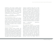Excellence, which seeks to identify critical issues in local communities. Another program that applies to greenways is the Community Development Programs, and specifically the Program Related Investments. This program targets low and moderate income communities and serves to encourage entrepreneurial business development.

#### More information: http://www. bankofamerica.com/foundation

# The Trust For Public Land

Land conservation is central to the mission of the Trust for Public Land (TPL). Founded in 1972, the Trust for Public Land is the only national nonprofit working exclusively to protect land for human enjoyment and well being. TPL helps conserve land for recreation and spiritual nourishment and to improve the health and quality of life of American communities.

# More information: http://www.tpl.org

# National Trails Fund

American Hiking society created the National Trails Fund in 1998 as the only privately supported national grants program providing funding to grassroots organizations working toward establishing, protecting, and maintaining foot trails in America. The society provides funds to help address the \$200 million backlog of trail maintenance. National Trails Fund grants help give local organizations the resources they need to secure access, volunteers, tools and materials to protect

America's cherished public trails. To date, American Hiking has granted more than \$240,000 to 56 different trail projects across the U.S. for land acquisition, constituency building campaigns, and traditional trail work projects. Awards range from \$500 to \$10,000 per project. Projects the American Hiking Society will consider include: Securing trail lands, including acquisition of trails and trail corridors, and the costs associated with acquiring conservation easements; Building and maintaining trails that will result in visible and substantial ease of access, improved hiker safety, and/or avoidance of environmental damage; Constituency building surrounding specific trail projects, including volunteer recruitment and support.

More information: http://www. americanhiking.org/

# The Conservation Alliance

The Conservation Alliance is a non-profit organization of outdoor businesses whose collective annual membership dues support grassroots citizen-action groups and their efforts to protect wild and natural areas. One hundred percent of its member companies' dues go directly to diverse, local community groups across the nation For groups who seek to protect the last great wild lands and waterways from resource extraction and commercial development, the Alliance's grants are substantial in size (about \$35,000 each), and have often made the difference between success and defeat. Since its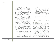inception in 1989, The Conservation Alliance has contributed \$4,775,059 to grassroots environmental groups across the nation, and its member companies are proud of the results: To date the groups funded have saved over 34 million acres of wild lands and 14 dams have been either prevented or removed-all through grassroots community efforts. The Conservation Alliance is a unique funding source for grassroots environmental groups. It is the only environmental grant maker whose funds come from a potent yet largely untapped constituency for protection of ecosystems - the non-motorized outdoor recreation industry and its customers. This industry has great incentive to protect the places in which people use the clothing, hiking boots, tents and backpacks it sells. The industry is also uniquely positioned to educate outdoor enthusiasts about threats to wild places, and engage them to take action. Finally, when it comes to decisionmakers – especially those in the Forest Service, Nation-al Park Service, and Bureau of Land Management, this industry has clout - an important tool that small advocacy groups can wield. The Conservation Alliance Funding Criteria:

- The Project should be focused primarily on direct citizen action to protect and enhance our natural resources for recreation.
- The Alliance does not look for mainstream education or scientific research projects, but rather for active

campaigns.

- All projects should be quantifiable, with specific goals, objectives and action plans and should include a measure for evaluating success.
- The project should have a good chance for closure or significant measurable results over a fairly short term (one to two years).
- Funding emphasis may not be on general operating expenses or staff payroll.

#### More information: http://www. conservationalliance.com/grants

# Bike Belong Grants

The Bikes Belong Grant program funds important and influential projects that leverage federal funding and build momentum for bicycling in communities across the U.S. These projects include greenways and rail trails accessible by pedestrians and bicyclists. Applicants can request a maximum amount of \$10,000 for their project, and priorities are given to areas that have not received Bikes Belong funding in the past three years. A new Bikes Belong opportunity is Community Partnership Grants. These grants are designed to foster and support partnerships between city or county governments, non-profit organizations, and local businesses to improve the environment for bicycling in the community. Grants will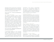primarily fund the construction or expansion of facilities such as bike lanes, trails, and paths. The lead organization must be a non-profit organization with IRS 501(c)3 designation or a city or county government office.

More information: http://www.bikesbelong. org/grants/

# The Cinergy Foundation

The Cinergy Foundation places special emphasis on projects that help communities help themselves. The Foundation supports local community, civic and leadership development projects. The Cinergy Foundation also views community foundations as positive vehicles for sustaining the longterm health of a community and promoting philanthropic causes. Infrastructure needs by a community will not be considered. The Cinergy Foundation supports health and social service programs which promote healthy life styles and preventative medical care. United Way campaigns are included in Health and Social Services funding.

#### More information: http://www.cinergy.com/ foundation/categories.asp

# LOCAL TRAIL SPONSORS

A sponsorship program for trail amenities allows smaller donations to be received from both individuals and businesses. Cash donations could be placed into a trust fund to be accessed for certain construction or acquisition projects associated with the greenways and open space system. Some recognition of the donors is appropriate and can be accomplished through the placement of a plaque, the naming of a trail segment, and/or special recognition at an opening ceremony. Valuable in-kind gifts include donations of services, equipment, labor, or reduced costs for supplies.

# Corporate Donations

Corporate donations are often received in the form of liquid investments (i.e. cash, stock, bonds) and in the form of land. Municipalities typically create funds to facilitate and simplify a transaction from a corporation's donation to the given municipality. Donations are mainly received when a widely supported capital improvement program is implemented. Such donations can improve capital budgets and/ or projects.

# Private Individual Donations

Private individual donations can come in the form of liquid investments (i.e. cash, stock, bonds) or land. Municipalities typically create funds to facilitate and simplify a transaction from an individual's donation to the given municipality. Donations are mainly received when a widely supported capital improvement program is implemented. Such donations can improve capital budgets and/ or projects.

# Fundraising / Campaign Drives<br>Organizations and individuals

Organizations and individuals can participate in a fundraiser or a campaign drive. It is essential to market the purpose of a fundraiser to rally support and financial